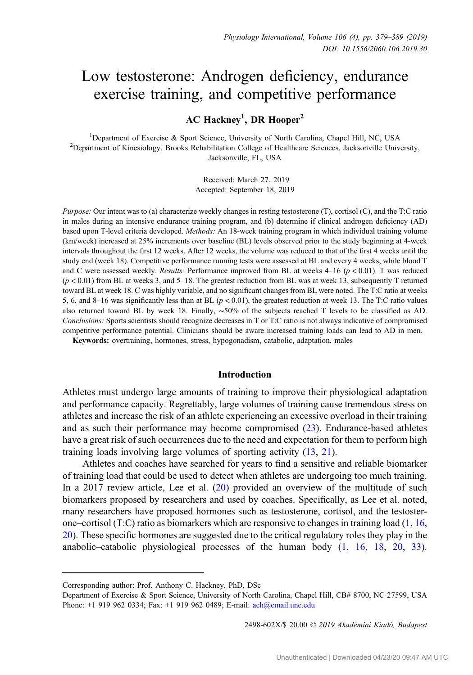# Low testosterone: Androgen deficiency, endurance exercise training, and competitive performance

AC Hackney<sup>1</sup>, DR Hooper<sup>2</sup>

<sup>1</sup> Department of Exercise & Sport Science, University of North Carolina, Chapel Hill, NC, USA<br><sup>2</sup> Department of Kinesiology, Brooks Rebabilitation College of Healthcare Sciences, Jacksonville Univ <sup>2</sup>Department of Kinesiology, Brooks Rehabilitation College of Healthcare Sciences, Jacksonville University, Jacksonville, FL, USA

> Received: March 27, 2019 Accepted: September 18, 2019

Purpose: Our intent was to (a) characterize weekly changes in resting testosterone (T), cortisol (C), and the T:C ratio in males during an intensive endurance training program, and (b) determine if clinical androgen deficiency (AD) based upon T-level criteria developed. Methods: An 18-week training program in which individual training volume (km/week) increased at 25% increments over baseline (BL) levels observed prior to the study beginning at 4-week intervals throughout the first 12 weeks. After 12 weeks, the volume was reduced to that of the first 4 weeks until the study end (week 18). Competitive performance running tests were assessed at BL and every 4 weeks, while blood T and C were assessed weekly. Results: Performance improved from BL at weeks  $4-16$  ( $p < 0.01$ ). T was reduced  $(p < 0.01)$  from BL at weeks 3, and 5–18. The greatest reduction from BL was at week 13, subsequently T returned toward BL at week 18. C was highly variable, and no significant changes from BL were noted. The T:C ratio at weeks 5, 6, and 8–16 was significantly less than at BL  $(p < 0.01)$ , the greatest reduction at week 13. The T:C ratio values also returned toward BL by week 18. Finally, ∼50% of the subjects reached T levels to be classified as AD. Conclusions: Sports scientists should recognize decreases in T or T:C ratio is not always indicative of compromised competitive performance potential. Clinicians should be aware increased training loads can lead to AD in men.

Keywords: overtraining, hormones, stress, hypogonadism, catabolic, adaptation, males

# Introduction

Athletes must undergo large amounts of training to improve their physiological adaptation and performance capacity. Regrettably, large volumes of training cause tremendous stress on athletes and increase the risk of an athlete experiencing an excessive overload in their training and as such their performance may become compromised [\(23](#page-10-0)). Endurance-based athletes have a great risk of such occurrences due to the need and expectation for them to perform high training loads involving large volumes of sporting activity ([13,](#page-9-0) [21\)](#page-10-0).

Athletes and coaches have searched for years to find a sensitive and reliable biomarker of training load that could be used to detect when athletes are undergoing too much training. In a 2017 review article, Lee et al. [\(20](#page-9-0)) provided an overview of the multitude of such biomarkers proposed by researchers and used by coaches. Specifically, as Lee et al. noted, many researchers have proposed hormones such as testosterone, cortisol, and the testosterone–cortisol (T:C) ratio as biomarkers which are responsive to changes in training load ([1](#page-9-0), [16,](#page-9-0) [20](#page-9-0)). These specific hormones are suggested due to the critical regulatory roles they play in the anabolic–catabolic physiological processes of the human body ([1,](#page-9-0) [16,](#page-9-0) [18,](#page-9-0) [20](#page-9-0), [33](#page-10-0)).

2498-602X/\$ 20.00 © 2019 Akadémiai Kiadó, Budapest

Corresponding author: Prof. Anthony C. Hackney, PhD, DSc

Department of Exercise & Sport Science, University of North Carolina, Chapel Hill, CB# 8700, NC 27599, USA Phone: +1 919 962 0334; Fax: +1 919 962 0489; E-mail: [ach@email.unc.edu](mailto:ach@email.unc.edu)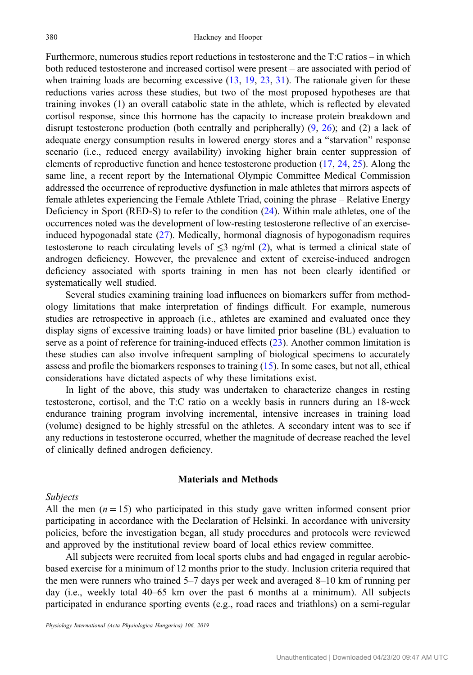Furthermore, numerous studies report reductions in testosterone and the T:C ratios – in which both reduced testosterone and increased cortisol were present – are associated with period of when training loads are becoming excessive  $(13, 19, 23, 31)$  $(13, 19, 23, 31)$  $(13, 19, 23, 31)$  $(13, 19, 23, 31)$  $(13, 19, 23, 31)$  $(13, 19, 23, 31)$  $(13, 19, 23, 31)$  $(13, 19, 23, 31)$ . The rationale given for these reductions varies across these studies, but two of the most proposed hypotheses are that training invokes (1) an overall catabolic state in the athlete, which is reflected by elevated cortisol response, since this hormone has the capacity to increase protein breakdown and disrupt testosterone production (both centrally and peripherally) [\(9](#page-9-0), [26](#page-10-0)); and (2) a lack of adequate energy consumption results in lowered energy stores and a "starvation" response scenario (i.e., reduced energy availability) invoking higher brain center suppression of elements of reproductive function and hence testosterone production ([17,](#page-9-0) [24,](#page-10-0) [25\)](#page-10-0). Along the same line, a recent report by the International Olympic Committee Medical Commission addressed the occurrence of reproductive dysfunction in male athletes that mirrors aspects of female athletes experiencing the Female Athlete Triad, coining the phrase – Relative Energy Deficiency in Sport (RED-S) to refer to the condition ([24\)](#page-10-0). Within male athletes, one of the occurrences noted was the development of low-resting testosterone reflective of an exerciseinduced hypogonadal state [\(27](#page-10-0)). Medically, hormonal diagnosis of hypogonadism requires testosterone to reach circulating levels of  $\leq$ 3 ng/ml ([2](#page-9-0)), what is termed a clinical state of androgen deficiency. However, the prevalence and extent of exercise-induced androgen deficiency associated with sports training in men has not been clearly identified or systematically well studied.

Several studies examining training load influences on biomarkers suffer from methodology limitations that make interpretation of findings difficult. For example, numerous studies are retrospective in approach (i.e., athletes are examined and evaluated once they display signs of excessive training loads) or have limited prior baseline (BL) evaluation to serve as a point of reference for training-induced effects ([23\)](#page-10-0). Another common limitation is these studies can also involve infrequent sampling of biological specimens to accurately assess and profile the biomarkers responses to training [\(15](#page-9-0)). In some cases, but not all, ethical considerations have dictated aspects of why these limitations exist.

In light of the above, this study was undertaken to characterize changes in resting testosterone, cortisol, and the T:C ratio on a weekly basis in runners during an 18-week endurance training program involving incremental, intensive increases in training load (volume) designed to be highly stressful on the athletes. A secondary intent was to see if any reductions in testosterone occurred, whether the magnitude of decrease reached the level of clinically defined androgen deficiency.

#### Materials and Methods

## Subjects

All the men  $(n = 15)$  who participated in this study gave written informed consent prior participating in accordance with the Declaration of Helsinki. In accordance with university policies, before the investigation began, all study procedures and protocols were reviewed and approved by the institutional review board of local ethics review committee.

All subjects were recruited from local sports clubs and had engaged in regular aerobicbased exercise for a minimum of 12 months prior to the study. Inclusion criteria required that the men were runners who trained 5–7 days per week and averaged 8–10 km of running per day (i.e., weekly total 40–65 km over the past 6 months at a minimum). All subjects participated in endurance sporting events (e.g., road races and triathlons) on a semi-regular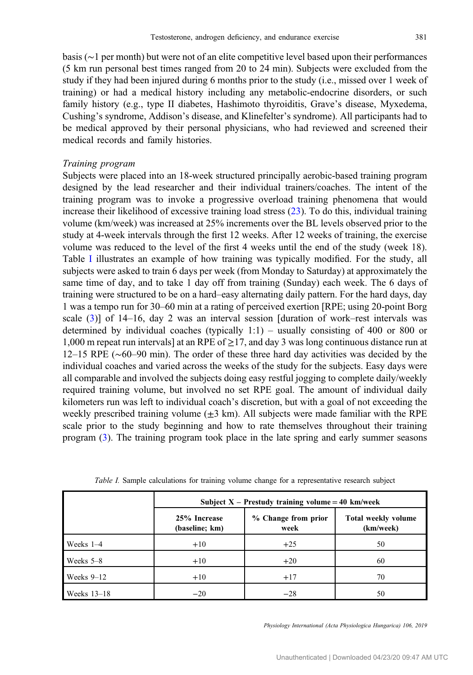basis (∼1 per month) but were not of an elite competitive level based upon their performances (5 km run personal best times ranged from 20 to 24 min). Subjects were excluded from the study if they had been injured during 6 months prior to the study (i.e., missed over 1 week of training) or had a medical history including any metabolic-endocrine disorders, or such family history (e.g., type II diabetes, Hashimoto thyroiditis, Grave's disease, Myxedema, Cushing's syndrome, Addison's disease, and Klinefelter's syndrome). All participants had to be medical approved by their personal physicians, who had reviewed and screened their medical records and family histories.

#### Training program

Subjects were placed into an 18-week structured principally aerobic-based training program designed by the lead researcher and their individual trainers/coaches. The intent of the training program was to invoke a progressive overload training phenomena that would increase their likelihood of excessive training load stress ([23\)](#page-10-0). To do this, individual training volume (km/week) was increased at 25% increments over the BL levels observed prior to the study at 4-week intervals through the first 12 weeks. After 12 weeks of training, the exercise volume was reduced to the level of the first 4 weeks until the end of the study (week 18). Table I illustrates an example of how training was typically modified. For the study, all subjects were asked to train 6 days per week (from Monday to Saturday) at approximately the same time of day, and to take 1 day off from training (Sunday) each week. The 6 days of training were structured to be on a hard–easy alternating daily pattern. For the hard days, day 1 was a tempo run for 30–60 min at a rating of perceived exertion [RPE; using 20-point Borg scale [\(3](#page-9-0))] of 14–16, day 2 was an interval session [duration of work–rest intervals was determined by individual coaches (typically 1:1) – usually consisting of 400 or 800 or 1,000 m repeat run intervals] at an RPE of  $\geq$  17, and day 3 was long continuous distance run at 12–15 RPE (∼60–90 min). The order of these three hard day activities was decided by the individual coaches and varied across the weeks of the study for the subjects. Easy days were all comparable and involved the subjects doing easy restful jogging to complete daily/weekly required training volume, but involved no set RPE goal. The amount of individual daily kilometers run was left to individual coach's discretion, but with a goal of not exceeding the weekly prescribed training volume  $(\pm 3 \text{ km})$ . All subjects were made familiar with the RPE scale prior to the study beginning and how to rate themselves throughout their training program [\(3](#page-9-0)). The training program took place in the late spring and early summer seasons

|               | Subject $X$ – Prestudy training volume = 40 km/week |                             |                                  |  |  |
|---------------|-----------------------------------------------------|-----------------------------|----------------------------------|--|--|
|               | 25% Increase<br>(baseline; km)                      | % Change from prior<br>week | Total weekly volume<br>(km/week) |  |  |
| Weeks $1-4$   | $+10$                                               | $+25$                       | 50                               |  |  |
| Weeks $5-8$   | $+10$                                               | $+20$                       | 60                               |  |  |
| Weeks $9-12$  | $+10$                                               | $+17$                       | 70                               |  |  |
| Weeks $13-18$ | $-20$                                               | $-28$                       | 50                               |  |  |

Table I. Sample calculations for training volume change for a representative research subject

Physiology International (Acta Physiologica Hungarica) 106, 2019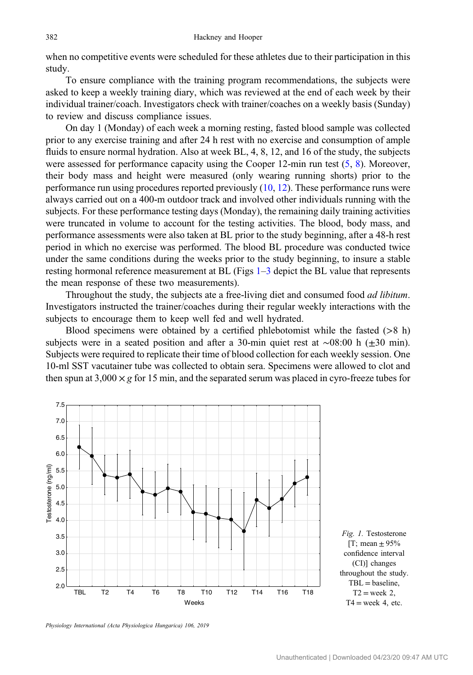<span id="page-3-0"></span>when no competitive events were scheduled for these athletes due to their participation in this study.

To ensure compliance with the training program recommendations, the subjects were asked to keep a weekly training diary, which was reviewed at the end of each week by their individual trainer/coach. Investigators check with trainer/coaches on a weekly basis (Sunday) to review and discuss compliance issues.

On day 1 (Monday) of each week a morning resting, fasted blood sample was collected prior to any exercise training and after 24 h rest with no exercise and consumption of ample fluids to ensure normal hydration. Also at week BL, 4, 8, 12, and 16 of the study, the subjects were assessed for performance capacity using the Cooper  $12$ -min run test  $(5, 8)$  $(5, 8)$  $(5, 8)$ . Moreover, their body mass and height were measured (only wearing running shorts) prior to the performance run using procedures reported previously  $(10, 12)$  $(10, 12)$  $(10, 12)$  $(10, 12)$  $(10, 12)$ . These performance runs were always carried out on a 400-m outdoor track and involved other individuals running with the subjects. For these performance testing days (Monday), the remaining daily training activities were truncated in volume to account for the testing activities. The blood, body mass, and performance assessments were also taken at BL prior to the study beginning, after a 48-h rest period in which no exercise was performed. The blood BL procedure was conducted twice under the same conditions during the weeks prior to the study beginning, to insure a stable resting hormonal reference measurement at BL (Figs 1–[3](#page-4-0) depict the BL value that represents the mean response of these two measurements).

Throughout the study, the subjects ate a free-living diet and consumed food *ad libitum*. Investigators instructed the trainer/coaches during their regular weekly interactions with the subjects to encourage them to keep well fed and well hydrated.

Blood specimens were obtained by a certified phlebotomist while the fasted  $(>\,8\,h)$ subjects were in a seated position and after a 30-min quiet rest at ∼08:00 h (±30 min). Subjects were required to replicate their time of blood collection for each weekly session. One 10-ml SST vacutainer tube was collected to obtain sera. Specimens were allowed to clot and then spun at  $3,000 \times g$  for 15 min, and the separated serum was placed in cyro-freeze tubes for



Physiology International (Acta Physiologica Hungarica) 106, 2019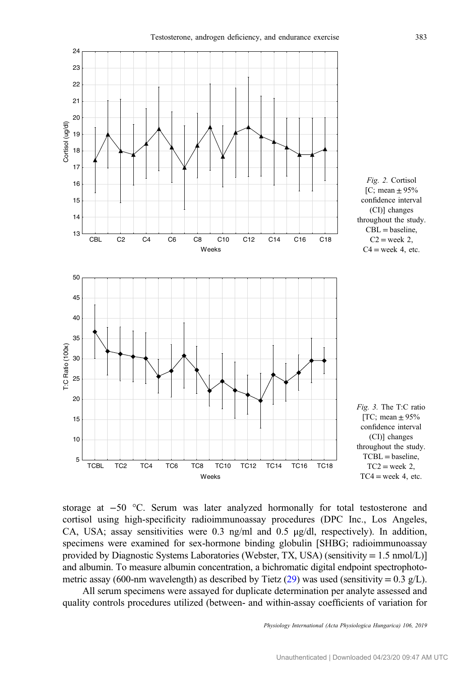<span id="page-4-0"></span>

storage at −50 °C. Serum was later analyzed hormonally for total testosterone and cortisol using high-specificity radioimmunoassay procedures (DPC Inc., Los Angeles, CA, USA; assay sensitivities were 0.3 ng/ml and 0.5 μg/dl, respectively). In addition, specimens were examined for sex-hormone binding globulin [SHBG; radioimmunoassay provided by Diagnostic Systems Laboratories (Webster, TX, USA) (sensitivity = 1.5 nmol/L)] and albumin. To measure albumin concentration, a bichromatic digital endpoint spectrophoto-metric assay (600-nm wavelength) as described by Tietz ([29\)](#page-10-0) was used (sensitivity =  $0.3$  g/L).

All serum specimens were assayed for duplicate determination per analyte assessed and quality controls procedures utilized (between- and within-assay coefficients of variation for

Physiology International (Acta Physiologica Hungarica) 106, 2019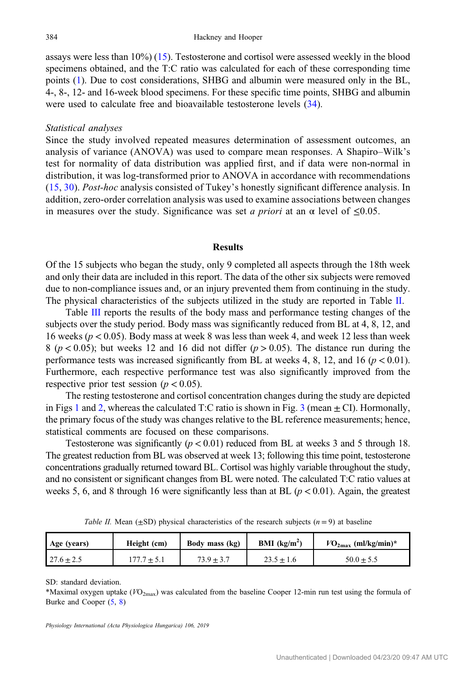assays were less than 10%) [\(15](#page-9-0)). Testosterone and cortisol were assessed weekly in the blood specimens obtained, and the T:C ratio was calculated for each of these corresponding time points ([1\)](#page-9-0). Due to cost considerations, SHBG and albumin were measured only in the BL, 4-, 8-, 12- and 16-week blood specimens. For these specific time points, SHBG and albumin were used to calculate free and bioavailable testosterone levels [\(34](#page-10-0)).

## Statistical analyses

Since the study involved repeated measures determination of assessment outcomes, an analysis of variance (ANOVA) was used to compare mean responses. A Shapiro–Wilk's test for normality of data distribution was applied first, and if data were non-normal in distribution, it was log-transformed prior to ANOVA in accordance with recommendations [\(15,](#page-9-0) [30\)](#page-10-0). Post-hoc analysis consisted of Tukey's honestly significant difference analysis. In addition, zero-order correlation analysis was used to examine associations between changes in measures over the study. Significance was set a priori at an  $\alpha$  level of  $\leq 0.05$ .

#### Results

Of the 15 subjects who began the study, only 9 completed all aspects through the 18th week and only their data are included in this report. The data of the other six subjects were removed due to non-compliance issues and, or an injury prevented them from continuing in the study. The physical characteristics of the subjects utilized in the study are reported in Table II.

Table [III](#page-6-0) reports the results of the body mass and performance testing changes of the subjects over the study period. Body mass was significantly reduced from BL at 4, 8, 12, and 16 weeks ( $p < 0.05$ ). Body mass at week 8 was less than week 4, and week 12 less than week 8 ( $p < 0.05$ ); but weeks 12 and 16 did not differ ( $p > 0.05$ ). The distance run during the performance tests was increased significantly from BL at weeks 4, 8, 12, and 16 ( $p < 0.01$ ). Furthermore, each respective performance test was also significantly improved from the respective prior test session ( $p < 0.05$ ).

The resting testosterone and cortisol concentration changes during the study are depicted in Figs [1](#page-3-0) and [2,](#page-4-0) whereas the calculated T:C ratio is shown in Fig. [3](#page-4-0) (mean  $\pm$  CI). Hormonally, the primary focus of the study was changes relative to the BL reference measurements; hence, statistical comments are focused on these comparisons.

Testosterone was significantly ( $p < 0.01$ ) reduced from BL at weeks 3 and 5 through 18. The greatest reduction from BL was observed at week 13; following this time point, testosterone concentrations gradually returned toward BL. Cortisol was highly variable throughout the study, and no consistent or significant changes from BL were noted. The calculated T:C ratio values at weeks 5, 6, and 8 through 16 were significantly less than at BL  $(p < 0.01)$ . Again, the greatest

| Age (years) | Height (cm) | Body mass (kg) | <b>BMI</b> ( $kg/m2$ ) | $VO_{2\text{max}}$ (ml/kg/min)* |
|-------------|-------------|----------------|------------------------|---------------------------------|
|             |             |                |                        |                                 |

27.6  $\pm$  2.5 177.7  $\pm$  5.1  $73.9 \pm 3.7$  23.5  $\pm$  1.6 50.0  $\pm$  5.5

Table II. Mean ( $\pm$ SD) physical characteristics of the research subjects ( $n = 9$ ) at baseline

SD: standard deviation.

\*Maximal oxygen uptake ( $VO_{2\text{max}}$ ) was calculated from the baseline Cooper 12-min run test using the formula of Burke and Cooper [\(5](#page-9-0), [8\)](#page-9-0)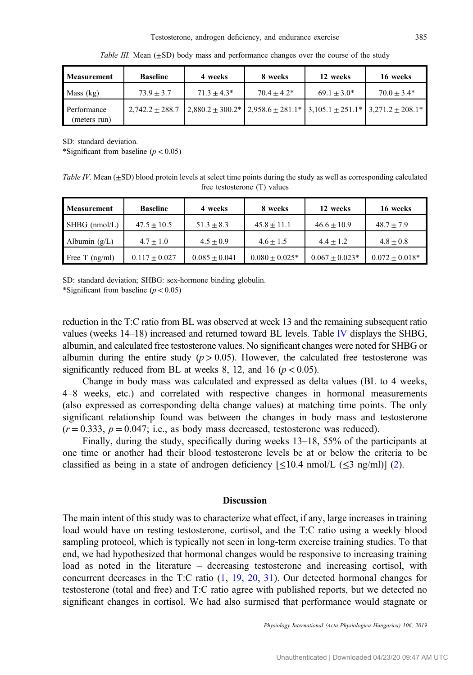<span id="page-6-0"></span>

| Measurement                 | <b>Baseline</b> | 4 weeks                                                                                                | 8 weeks       | 12 weeks      | 16 weeks      |
|-----------------------------|-----------------|--------------------------------------------------------------------------------------------------------|---------------|---------------|---------------|
| Mass (kg)                   | $73.9 + 3.7$    | $71.3 + 4.3*$                                                                                          | $70.4 + 4.2*$ | $69.1 + 3.0*$ | $70.0 + 3.4*$ |
| Performance<br>(meters run) |                 | $2,742.2 \pm 288.7$ $2,880.2 \pm 300.2$ $2,80.2 \pm 281.1$ $3,105.1 \pm 251.1$ $3,271.2 \pm 208.1$ $*$ |               |               |               |

Table III. Mean  $(\pm SD)$  body mass and performance changes over the course of the study

SD: standard deviation.

\*Significant from baseline  $(p < 0.05)$ 

Table IV. Mean  $(\pm SD)$  blood protein levels at select time points during the study as well as corresponding calculated free testosterone (T) values

| <b>Measurement</b> | <b>Baseline</b> | 4 weeks         | 8 weeks          | 12 weeks           | 16 weeks         |
|--------------------|-----------------|-----------------|------------------|--------------------|------------------|
| SHBG (nmol/L)      | $47.5 + 10.5$   | $51.3 + 8.3$    | $45.8 + 11.1$    | $46.6 + 10.9$      | $48.7 + 7.9$     |
| Albumin $(g/L)$    | $4.7 + 1.0$     | $4.5 + 0.9$     | $4.6 + 1.5$      | $4.4 + 1.2$        | $4.8 + 0.8$      |
| Free T $(ng/ml)$   | $0.117 + 0.027$ | $0.085 + 0.041$ | $0.080 + 0.025*$ | $0.067 \pm 0.023*$ | $0.072 + 0.018*$ |

SD: standard deviation; SHBG: sex-hormone binding globulin.

\*Significant from baseline  $(p < 0.05)$ 

reduction in the T:C ratio from BL was observed at week 13 and the remaining subsequent ratio values (weeks 14–18) increased and returned toward BL levels. Table IV displays the SHBG, albumin, and calculated free testosterone values. No significant changes were noted for SHBG or albumin during the entire study ( $p > 0.05$ ). However, the calculated free testosterone was significantly reduced from BL at weeks 8, 12, and 16 ( $p < 0.05$ ).

Change in body mass was calculated and expressed as delta values (BL to 4 weeks, 4–8 weeks, etc.) and correlated with respective changes in hormonal measurements (also expressed as corresponding delta change values) at matching time points. The only significant relationship found was between the changes in body mass and testosterone  $(r = 0.333, p = 0.047$ ; i.e., as body mass decreased, testosterone was reduced).

Finally, during the study, specifically during weeks 13–18, 55% of the participants at one time or another had their blood testosterone levels be at or below the criteria to be classified as being in a state of androgen deficiency  $[\leq 10.4 \text{ nmol/L } (\leq 3 \text{ ng/ml})]$  [\(2](#page-9-0)).

# Discussion

The main intent of this study was to characterize what effect, if any, large increases in training load would have on resting testosterone, cortisol, and the T:C ratio using a weekly blood sampling protocol, which is typically not seen in long-term exercise training studies. To that end, we had hypothesized that hormonal changes would be responsive to increasing training load as noted in the literature – decreasing testosterone and increasing cortisol, with concurrent decreases in the T:C ratio ([1](#page-9-0), [19](#page-9-0), [20](#page-9-0), [31\)](#page-10-0). Our detected hormonal changes for testosterone (total and free) and T:C ratio agree with published reports, but we detected no significant changes in cortisol. We had also surmised that performance would stagnate or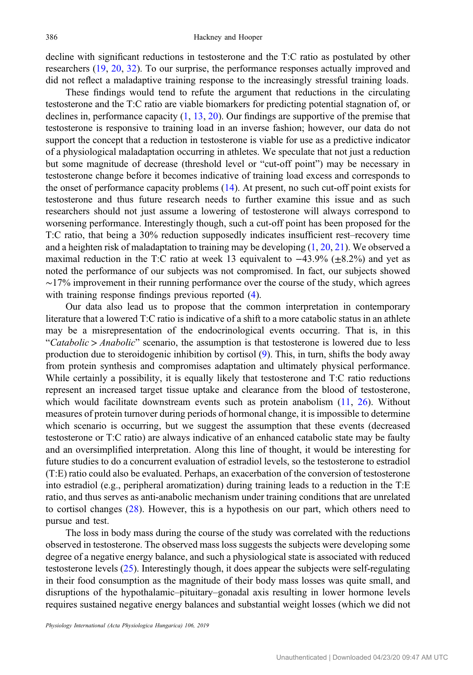decline with significant reductions in testosterone and the T:C ratio as postulated by other researchers ([19,](#page-9-0) [20](#page-9-0), [32\)](#page-10-0). To our surprise, the performance responses actually improved and did not reflect a maladaptive training response to the increasingly stressful training loads.

These findings would tend to refute the argument that reductions in the circulating testosterone and the T:C ratio are viable biomarkers for predicting potential stagnation of, or declines in, performance capacity ([1,](#page-9-0) [13,](#page-9-0) [20\)](#page-9-0). Our findings are supportive of the premise that testosterone is responsive to training load in an inverse fashion; however, our data do not support the concept that a reduction in testosterone is viable for use as a predictive indicator of a physiological maladaptation occurring in athletes. We speculate that not just a reduction but some magnitude of decrease (threshold level or "cut-off point") may be necessary in testosterone change before it becomes indicative of training load excess and corresponds to the onset of performance capacity problems ([14\)](#page-9-0). At present, no such cut-off point exists for testosterone and thus future research needs to further examine this issue and as such researchers should not just assume a lowering of testosterone will always correspond to worsening performance. Interestingly though, such a cut-off point has been proposed for the T:C ratio, that being a 30% reduction supposedly indicates insufficient rest–recovery time and a heighten risk of maladaptation to training may be developing [\(1,](#page-9-0) [20,](#page-9-0) [21](#page-10-0)). We observed a maximal reduction in the T:C ratio at week 13 equivalent to  $-43.9\%$  ( $\pm 8.2\%$ ) and yet as noted the performance of our subjects was not compromised. In fact, our subjects showed ∼17% improvement in their running performance over the course of the study, which agrees with training response findings previous reported ([4\)](#page-9-0).

Our data also lead us to propose that the common interpretation in contemporary literature that a lowered T:C ratio is indicative of a shift to a more catabolic status in an athlete may be a misrepresentation of the endocrinological events occurring. That is, in this "Catabolic > Anabolic" scenario, the assumption is that testosterone is lowered due to less production due to steroidogenic inhibition by cortisol ([9\)](#page-9-0). This, in turn, shifts the body away from protein synthesis and compromises adaptation and ultimately physical performance. While certainly a possibility, it is equally likely that testosterone and T:C ratio reductions represent an increased target tissue uptake and clearance from the blood of testosterone, which would facilitate downstream events such as protein anabolism  $(11, 26)$  $(11, 26)$  $(11, 26)$  $(11, 26)$ . Without measures of protein turnover during periods of hormonal change, it is impossible to determine which scenario is occurring, but we suggest the assumption that these events (decreased testosterone or T:C ratio) are always indicative of an enhanced catabolic state may be faulty and an oversimplified interpretation. Along this line of thought, it would be interesting for future studies to do a concurrent evaluation of estradiol levels, so the testosterone to estradiol (T:E) ratio could also be evaluated. Perhaps, an exacerbation of the conversion of testosterone into estradiol (e.g., peripheral aromatization) during training leads to a reduction in the T:E ratio, and thus serves as anti-anabolic mechanism under training conditions that are unrelated to cortisol changes ([28\)](#page-10-0). However, this is a hypothesis on our part, which others need to pursue and test.

The loss in body mass during the course of the study was correlated with the reductions observed in testosterone. The observed mass loss suggests the subjects were developing some degree of a negative energy balance, and such a physiological state is associated with reduced testosterone levels [\(25](#page-10-0)). Interestingly though, it does appear the subjects were self-regulating in their food consumption as the magnitude of their body mass losses was quite small, and disruptions of the hypothalamic–pituitary–gonadal axis resulting in lower hormone levels requires sustained negative energy balances and substantial weight losses (which we did not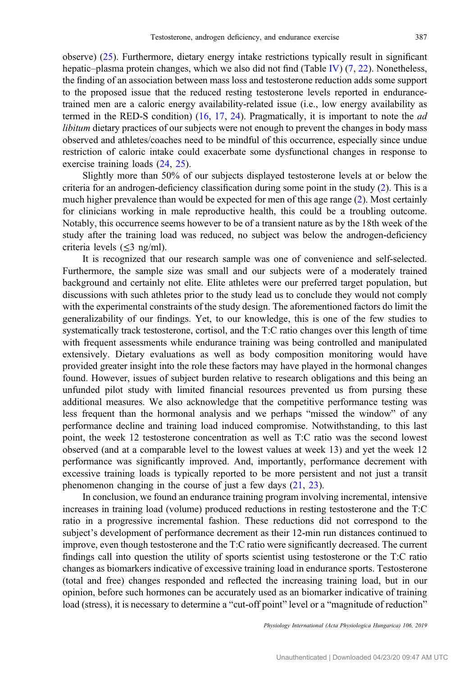observe) ([25\)](#page-10-0). Furthermore, dietary energy intake restrictions typically result in significant hepatic–plasma protein changes, which we also did not find (Table [IV\)](#page-6-0)  $(7, 22)$  $(7, 22)$  $(7, 22)$  $(7, 22)$ . Nonetheless, the finding of an association between mass loss and testosterone reduction adds some support to the proposed issue that the reduced resting testosterone levels reported in endurancetrained men are a caloric energy availability-related issue (i.e., low energy availability as termed in the RED-S condition) [\(16](#page-9-0), [17](#page-9-0), [24](#page-10-0)). Pragmatically, it is important to note the ad libitum dietary practices of our subjects were not enough to prevent the changes in body mass observed and athletes/coaches need to be mindful of this occurrence, especially since undue restriction of caloric intake could exacerbate some dysfunctional changes in response to exercise training loads ([24,](#page-10-0) [25\)](#page-10-0).

Slightly more than 50% of our subjects displayed testosterone levels at or below the criteria for an androgen-deficiency classification during some point in the study [\(2](#page-9-0)). This is a much higher prevalence than would be expected for men of this age range ([2\)](#page-9-0). Most certainly for clinicians working in male reproductive health, this could be a troubling outcome. Notably, this occurrence seems however to be of a transient nature as by the 18th week of the study after the training load was reduced, no subject was below the androgen-deficiency criteria levels  $(\leq 3$  ng/ml).

It is recognized that our research sample was one of convenience and self-selected. Furthermore, the sample size was small and our subjects were of a moderately trained background and certainly not elite. Elite athletes were our preferred target population, but discussions with such athletes prior to the study lead us to conclude they would not comply with the experimental constraints of the study design. The aforementioned factors do limit the generalizability of our findings. Yet, to our knowledge, this is one of the few studies to systematically track testosterone, cortisol, and the T:C ratio changes over this length of time with frequent assessments while endurance training was being controlled and manipulated extensively. Dietary evaluations as well as body composition monitoring would have provided greater insight into the role these factors may have played in the hormonal changes found. However, issues of subject burden relative to research obligations and this being an unfunded pilot study with limited financial resources prevented us from pursing these additional measures. We also acknowledge that the competitive performance testing was less frequent than the hormonal analysis and we perhaps "missed the window" of any performance decline and training load induced compromise. Notwithstanding, to this last point, the week 12 testosterone concentration as well as T:C ratio was the second lowest observed (and at a comparable level to the lowest values at week 13) and yet the week 12 performance was significantly improved. And, importantly, performance decrement with excessive training loads is typically reported to be more persistent and not just a transit phenomenon changing in the course of just a few days ([21,](#page-10-0) [23\)](#page-10-0).

In conclusion, we found an endurance training program involving incremental, intensive increases in training load (volume) produced reductions in resting testosterone and the T:C ratio in a progressive incremental fashion. These reductions did not correspond to the subject's development of performance decrement as their 12-min run distances continued to improve, even though testosterone and the T:C ratio were significantly decreased. The current findings call into question the utility of sports scientist using testosterone or the T:C ratio changes as biomarkers indicative of excessive training load in endurance sports. Testosterone (total and free) changes responded and reflected the increasing training load, but in our opinion, before such hormones can be accurately used as an biomarker indicative of training load (stress), it is necessary to determine a "cut-off point" level or a "magnitude of reduction"

Physiology International (Acta Physiologica Hungarica) 106, 2019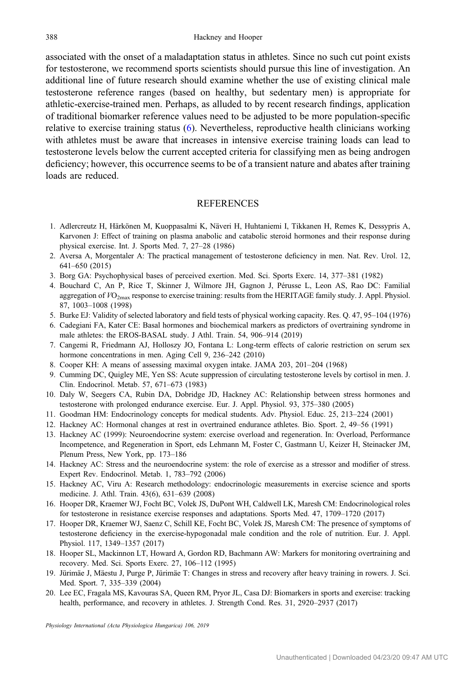<span id="page-9-0"></span>associated with the onset of a maladaptation status in athletes. Since no such cut point exists for testosterone, we recommend sports scientists should pursue this line of investigation. An additional line of future research should examine whether the use of existing clinical male testosterone reference ranges (based on healthy, but sedentary men) is appropriate for athletic-exercise-trained men. Perhaps, as alluded to by recent research findings, application of traditional biomarker reference values need to be adjusted to be more population-specific relative to exercise training status (6). Nevertheless, reproductive health clinicians working with athletes must be aware that increases in intensive exercise training loads can lead to testosterone levels below the current accepted criteria for classifying men as being androgen deficiency; however, this occurrence seems to be of a transient nature and abates after training loads are reduced.

# **REFERENCES**

- 1. Adlercreutz H, Härkönen M, Kuoppasalmi K, Näveri H, Huhtaniemi I, Tikkanen H, Remes K, Dessypris A, Karvonen J: Effect of training on plasma anabolic and catabolic steroid hormones and their response during physical exercise. Int. J. Sports Med. 7, 27–28 (1986)
- 2. Aversa A, Morgentaler A: The practical management of testosterone deficiency in men. Nat. Rev. Urol. 12, 641–650 (2015)
- 3. Borg GA: Psychophysical bases of perceived exertion. Med. Sci. Sports Exerc. 14, 377–381 (1982)
- 4. Bouchard C, An P, Rice T, Skinner J, Wilmore JH, Gagnon J, Pérusse L, Leon AS, Rao DC: Familial aggregation of  $VO_{2\text{max}}$  response to exercise training: results from the HERITAGE family study. J. Appl. Physiol. 87, 1003–1008 (1998)
- 5. Burke EJ: Validity of selected laboratory and field tests of physical working capacity. Res. Q. 47, 95–104 (1976)
- 6. Cadegiani FA, Kater CE: Basal hormones and biochemical markers as predictors of overtraining syndrome in male athletes: the EROS-BASAL study. J Athl. Train. 54, 906–914 (2019)
- 7. Cangemi R, Friedmann AJ, Holloszy JO, Fontana L: Long-term effects of calorie restriction on serum sex hormone concentrations in men. Aging Cell 9, 236–242 (2010)
- 8. Cooper KH: A means of assessing maximal oxygen intake. JAMA 203, 201–204 (1968)
- 9. Cumming DC, Quigley ME, Yen SS: Acute suppression of circulating testosterone levels by cortisol in men. J. Clin. Endocrinol. Metab. 57, 671–673 (1983)
- 10. Daly W, Seegers CA, Rubin DA, Dobridge JD, Hackney AC: Relationship between stress hormones and testosterone with prolonged endurance exercise. Eur. J. Appl. Physiol. 93, 375–380 (2005)
- 11. Goodman HM: Endocrinology concepts for medical students. Adv. Physiol. Educ. 25, 213–224 (2001)
- 12. Hackney AC: Hormonal changes at rest in overtrained endurance athletes. Bio. Sport. 2, 49–56 (1991)
- 13. Hackney AC (1999): Neuroendocrine system: exercise overload and regeneration. In: Overload, Performance Incompetence, and Regeneration in Sport, eds Lehmann M, Foster C, Gastmann U, Keizer H, Steinacker JM, Plenum Press, New York, pp. 173–186
- 14. Hackney AC: Stress and the neuroendocrine system: the role of exercise as a stressor and modifier of stress. Expert Rev. Endocrinol. Metab. 1, 783–792 (2006)
- 15. Hackney AC, Viru A: Research methodology: endocrinologic measurements in exercise science and sports medicine. J. Athl. Train. 43(6), 631–639 (2008)
- 16. Hooper DR, Kraemer WJ, Focht BC, Volek JS, DuPont WH, Caldwell LK, Maresh CM: Endocrinological roles for testosterone in resistance exercise responses and adaptations. Sports Med. 47, 1709–1720 (2017)
- 17. Hooper DR, Kraemer WJ, Saenz C, Schill KE, Focht BC, Volek JS, Maresh CM: The presence of symptoms of testosterone deficiency in the exercise-hypogonadal male condition and the role of nutrition. Eur. J. Appl. Physiol. 117, 1349–1357 (2017)
- 18. Hooper SL, Mackinnon LT, Howard A, Gordon RD, Bachmann AW: Markers for monitoring overtraining and recovery. Med. Sci. Sports Exerc. 27, 106–112 (1995)
- 19. Jürimäe J, Mäestu J, Purge P, Jürimäe T: Changes in stress and recovery after heavy training in rowers. J. Sci. Med. Sport. 7, 335–339 (2004)
- 20. Lee EC, Fragala MS, Kavouras SA, Queen RM, Pryor JL, Casa DJ: Biomarkers in sports and exercise: tracking health, performance, and recovery in athletes. J. Strength Cond. Res. 31, 2920–2937 (2017)